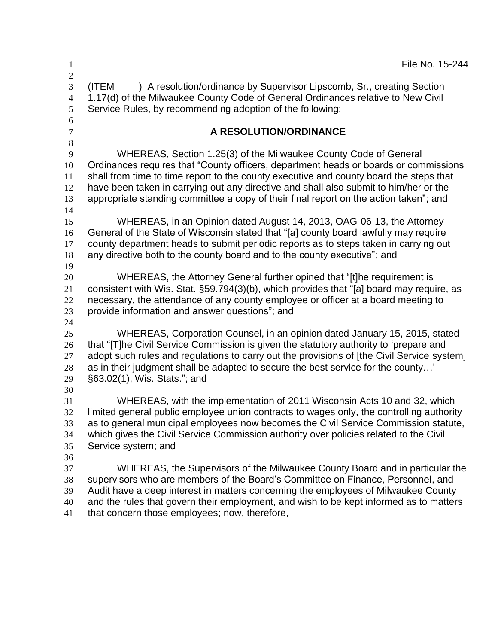$1 \qquad \qquad$  File No. 15-244 (ITEM ) A resolution/ordinance by Supervisor Lipscomb, Sr., creating Section 1.17(d) of the Milwaukee County Code of General Ordinances relative to New Civil Service Rules, by recommending adoption of the following: **A RESOLUTION/ORDINANCE** WHEREAS, Section 1.25(3) of the Milwaukee County Code of General Ordinances requires that "County officers, department heads or boards or commissions shall from time to time report to the county executive and county board the steps that have been taken in carrying out any directive and shall also submit to him/her or the appropriate standing committee a copy of their final report on the action taken"; and WHEREAS, in an Opinion dated August 14, 2013, OAG-06-13, the Attorney General of the State of Wisconsin stated that "[a] county board lawfully may require county department heads to submit periodic reports as to steps taken in carrying out any directive both to the county board and to the county executive"; and WHEREAS, the Attorney General further opined that "[t]he requirement is consistent with Wis. Stat. §59.794(3)(b), which provides that "[a] board may require, as necessary, the attendance of any county employee or officer at a board meeting to provide information and answer questions"; and WHEREAS, Corporation Counsel, in an opinion dated January 15, 2015, stated 26 that "[T]he Civil Service Commission is given the statutory authority to 'prepare and 27 adopt such rules and regulations to carry out the provisions of [the Civil Service system] as in their judgment shall be adapted to secure the best service for the county…' §63.02(1), Wis. Stats."; and WHEREAS, with the implementation of 2011 Wisconsin Acts 10 and 32, which limited general public employee union contracts to wages only, the controlling authority as to general municipal employees now becomes the Civil Service Commission statute, which gives the Civil Service Commission authority over policies related to the Civil Service system; and WHEREAS, the Supervisors of the Milwaukee County Board and in particular the supervisors who are members of the Board's Committee on Finance, Personnel, and Audit have a deep interest in matters concerning the employees of Milwaukee County and the rules that govern their employment, and wish to be kept informed as to matters that concern those employees; now, therefore,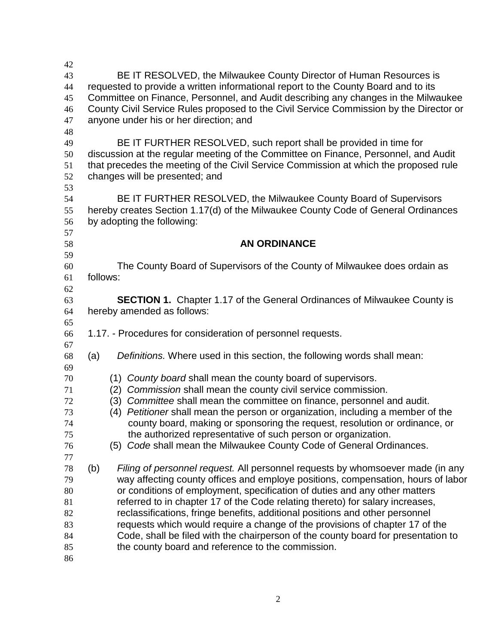| 42       |          |                                                                                                                                                           |                                                                                    |  |  |  |  |
|----------|----------|-----------------------------------------------------------------------------------------------------------------------------------------------------------|------------------------------------------------------------------------------------|--|--|--|--|
| 43<br>44 |          | BE IT RESOLVED, the Milwaukee County Director of Human Resources is<br>requested to provide a written informational report to the County Board and to its |                                                                                    |  |  |  |  |
| 45       |          |                                                                                                                                                           | Committee on Finance, Personnel, and Audit describing any changes in the Milwaukee |  |  |  |  |
| 46       |          | County Civil Service Rules proposed to the Civil Service Commission by the Director or                                                                    |                                                                                    |  |  |  |  |
| 47       |          | anyone under his or her direction; and                                                                                                                    |                                                                                    |  |  |  |  |
| 48       |          |                                                                                                                                                           |                                                                                    |  |  |  |  |
| 49       |          | BE IT FURTHER RESOLVED, such report shall be provided in time for                                                                                         |                                                                                    |  |  |  |  |
| 50       |          | discussion at the regular meeting of the Committee on Finance, Personnel, and Audit                                                                       |                                                                                    |  |  |  |  |
| 51       |          | that precedes the meeting of the Civil Service Commission at which the proposed rule                                                                      |                                                                                    |  |  |  |  |
| 52       |          | changes will be presented; and                                                                                                                            |                                                                                    |  |  |  |  |
| 53       |          |                                                                                                                                                           |                                                                                    |  |  |  |  |
| 54       |          |                                                                                                                                                           | BE IT FURTHER RESOLVED, the Milwaukee County Board of Supervisors                  |  |  |  |  |
| 55       |          |                                                                                                                                                           | hereby creates Section 1.17(d) of the Milwaukee County Code of General Ordinances  |  |  |  |  |
| 56       |          |                                                                                                                                                           | by adopting the following:                                                         |  |  |  |  |
| 57       |          |                                                                                                                                                           |                                                                                    |  |  |  |  |
| 58       |          |                                                                                                                                                           | <b>AN ORDINANCE</b>                                                                |  |  |  |  |
| 59       |          |                                                                                                                                                           |                                                                                    |  |  |  |  |
| 60       |          |                                                                                                                                                           | The County Board of Supervisors of the County of Milwaukee does ordain as          |  |  |  |  |
| 61       | follows: |                                                                                                                                                           |                                                                                    |  |  |  |  |
| 62       |          |                                                                                                                                                           |                                                                                    |  |  |  |  |
| 63       |          |                                                                                                                                                           | <b>SECTION 1.</b> Chapter 1.17 of the General Ordinances of Milwaukee County is    |  |  |  |  |
| 64       |          |                                                                                                                                                           | hereby amended as follows:                                                         |  |  |  |  |
| 65       |          |                                                                                                                                                           |                                                                                    |  |  |  |  |
| 66       |          |                                                                                                                                                           | 1.17. - Procedures for consideration of personnel requests.                        |  |  |  |  |
| 67<br>68 | (a)      |                                                                                                                                                           | Definitions. Where used in this section, the following words shall mean:           |  |  |  |  |
| 69       |          |                                                                                                                                                           |                                                                                    |  |  |  |  |
| 70       |          | (1)                                                                                                                                                       | County board shall mean the county board of supervisors.                           |  |  |  |  |
| 71       |          | (2)                                                                                                                                                       | Commission shall mean the county civil service commission.                         |  |  |  |  |
| 72       |          | (3)                                                                                                                                                       | Committee shall mean the committee on finance, personnel and audit.                |  |  |  |  |
| 73       |          | (4)                                                                                                                                                       | Petitioner shall mean the person or organization, including a member of the        |  |  |  |  |
| 74       |          |                                                                                                                                                           | county board, making or sponsoring the request, resolution or ordinance, or        |  |  |  |  |
| 75       |          |                                                                                                                                                           | the authorized representative of such person or organization.                      |  |  |  |  |
| 76       |          |                                                                                                                                                           | (5) Code shall mean the Milwaukee County Code of General Ordinances.               |  |  |  |  |
| 77       |          |                                                                                                                                                           |                                                                                    |  |  |  |  |
| 78       | (b)      |                                                                                                                                                           | Filing of personnel request. All personnel requests by whomsoever made (in any     |  |  |  |  |
| 79       |          |                                                                                                                                                           | way affecting county offices and employe positions, compensation, hours of labor   |  |  |  |  |
| 80       |          | or conditions of employment, specification of duties and any other matters                                                                                |                                                                                    |  |  |  |  |
| 81       |          | referred to in chapter 17 of the Code relating thereto) for salary increases,                                                                             |                                                                                    |  |  |  |  |
| 82       |          |                                                                                                                                                           | reclassifications, fringe benefits, additional positions and other personnel       |  |  |  |  |
| 83       |          |                                                                                                                                                           | requests which would require a change of the provisions of chapter 17 of the       |  |  |  |  |
| 84       |          |                                                                                                                                                           | Code, shall be filed with the chairperson of the county board for presentation to  |  |  |  |  |
| 85       |          |                                                                                                                                                           | the county board and reference to the commission.                                  |  |  |  |  |
| 86       |          |                                                                                                                                                           |                                                                                    |  |  |  |  |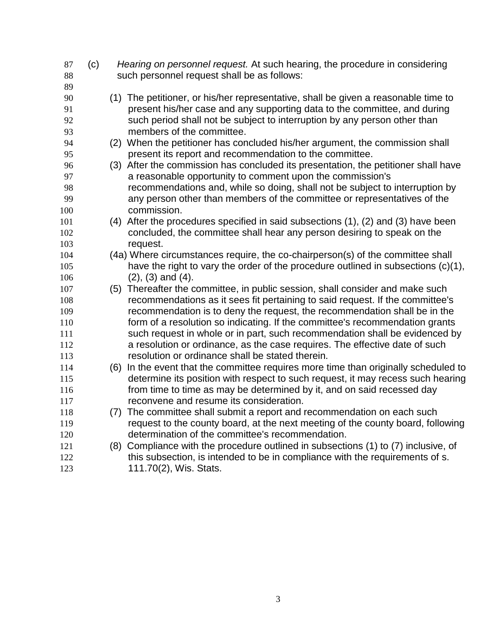| 87<br>88 | (c) | Hearing on personnel request. At such hearing, the procedure in considering<br>such personnel request shall be as follows: |
|----------|-----|----------------------------------------------------------------------------------------------------------------------------|
| 89       |     |                                                                                                                            |
| 90       |     | (1) The petitioner, or his/her representative, shall be given a reasonable time to                                         |
| 91       |     | present his/her case and any supporting data to the committee, and during                                                  |
| 92       |     | such period shall not be subject to interruption by any person other than                                                  |
| 93       |     | members of the committee.                                                                                                  |
| 94       |     | (2) When the petitioner has concluded his/her argument, the commission shall                                               |
| 95       |     | present its report and recommendation to the committee.                                                                    |
| 96       |     | (3) After the commission has concluded its presentation, the petitioner shall have                                         |
| 97       |     | a reasonable opportunity to comment upon the commission's                                                                  |
| 98       |     | recommendations and, while so doing, shall not be subject to interruption by                                               |
| 99       |     | any person other than members of the committee or representatives of the                                                   |
| 100      |     | commission.                                                                                                                |
| 101      |     | (4) After the procedures specified in said subsections (1), (2) and (3) have been                                          |
| 102      |     | concluded, the committee shall hear any person desiring to speak on the                                                    |
| 103      |     | request.                                                                                                                   |
| 104      |     | (4a) Where circumstances require, the co-chairperson(s) of the committee shall                                             |
| 105      |     | have the right to vary the order of the procedure outlined in subsections (c)(1),                                          |
| 106      |     | $(2)$ , $(3)$ and $(4)$ .                                                                                                  |
| 107      |     | (5) Thereafter the committee, in public session, shall consider and make such                                              |
| 108      |     | recommendations as it sees fit pertaining to said request. If the committee's                                              |
| 109      |     | recommendation is to deny the request, the recommendation shall be in the                                                  |
| 110      |     | form of a resolution so indicating. If the committee's recommendation grants                                               |
| 111      |     | such request in whole or in part, such recommendation shall be evidenced by                                                |
| 112      |     | a resolution or ordinance, as the case requires. The effective date of such                                                |
| 113      |     | resolution or ordinance shall be stated therein.                                                                           |
| 114      |     | (6) In the event that the committee requires more time than originally scheduled to                                        |
| 115      |     | determine its position with respect to such request, it may recess such hearing                                            |
| 116      |     | from time to time as may be determined by it, and on said recessed day                                                     |
| 117      |     | reconvene and resume its consideration.                                                                                    |
| 118      |     | (7) The committee shall submit a report and recommendation on each such                                                    |
| 119      |     | request to the county board, at the next meeting of the county board, following                                            |
| 120      |     | determination of the committee's recommendation.                                                                           |
| 121      |     | (8) Compliance with the procedure outlined in subsections (1) to (7) inclusive, of                                         |
| 122      |     | this subsection, is intended to be in compliance with the requirements of s.                                               |
| 123      |     | 111.70(2), Wis. Stats.                                                                                                     |